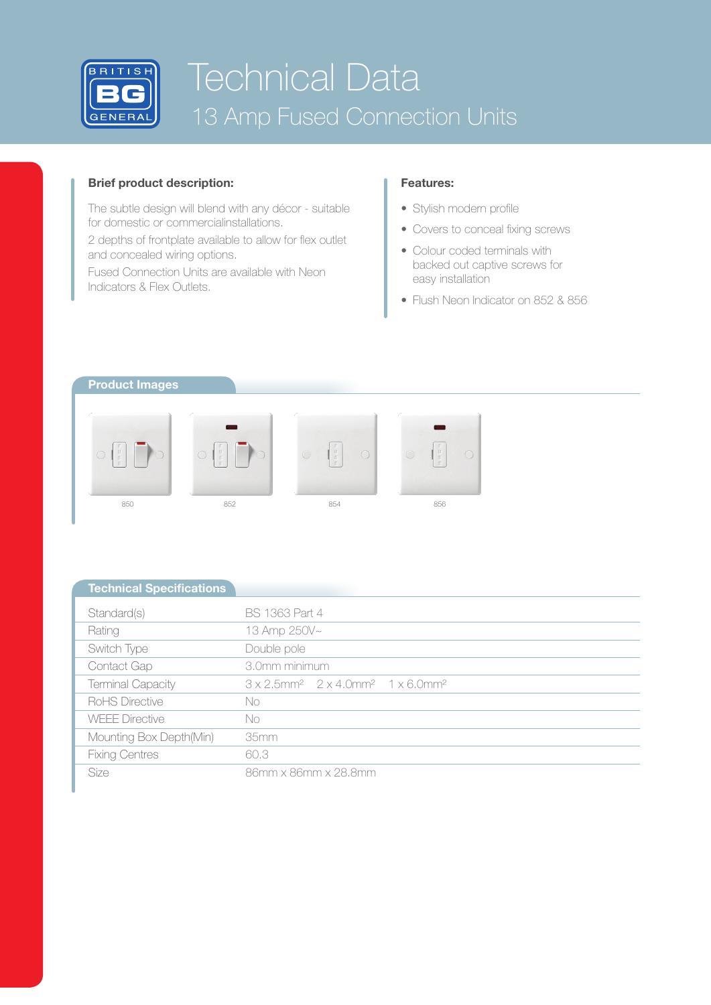

# Technical Data 13 Amp Fused Connection Units

## **Brief product description:**

The subtle design will blend with any décor - suitable for domestic or commercialinstallations.

2 depths of frontplate available to allow for flex outlet and concealed wiring options.

Fused Connection Units are available with Neon Indicators & Flex Outlets.

## **Features:**

- Stylish modern profile
- Covers to conceal fixing screws
- Colour coded terminals with backed out captive screws for easy installation
- Flush Neon Indicator on 852 & 856



| <b>Technical Specifications</b> |                                                                                              |  |  |  |  |
|---------------------------------|----------------------------------------------------------------------------------------------|--|--|--|--|
| Standard(s)                     | <b>BS 1363 Part 4</b>                                                                        |  |  |  |  |
| Rating                          | 13 Amp 250V~                                                                                 |  |  |  |  |
| Switch Type                     | Double pole                                                                                  |  |  |  |  |
| Contact Gap                     | 3.0mm minimum                                                                                |  |  |  |  |
| <b>Terminal Capacity</b>        | $3 \times 2.5$ mm <sup>2</sup> $2 \times 4.0$ mm <sup>2</sup> $1 \times 6.0$ mm <sup>2</sup> |  |  |  |  |
| RoHS Directive                  | No                                                                                           |  |  |  |  |
| <b>WEFE Directive</b>           | No                                                                                           |  |  |  |  |
| Mounting Box Depth(Min)         | 35mm                                                                                         |  |  |  |  |
| <b>Fixing Centres</b>           | 60.3                                                                                         |  |  |  |  |
| Size                            | 86mm x 86mm x 28.8mm                                                                         |  |  |  |  |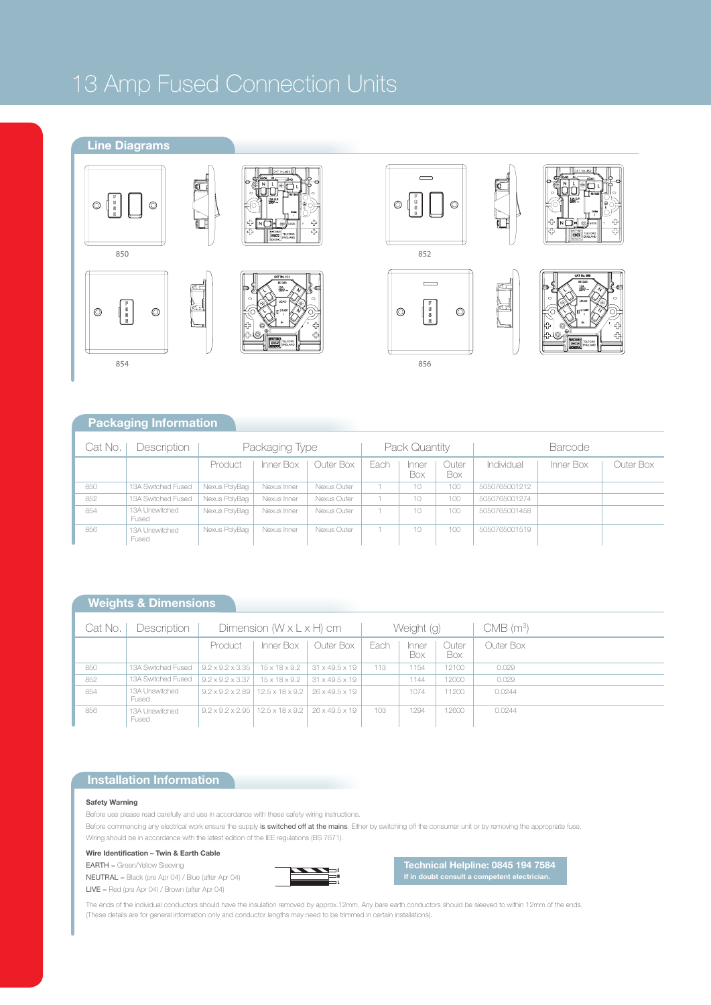## 13 Amp Fused Connection Units

## **Line Diagrams**









c

U F



856





**Packaging Information**

| Cat No. | <b>Description</b>      | Packaging Type |             |             | Pack Quantity |              |              | <b>Barcode</b> |           |           |
|---------|-------------------------|----------------|-------------|-------------|---------------|--------------|--------------|----------------|-----------|-----------|
|         |                         | Product        | Inner Box   | Outer Box   | Each          | Inner<br>Box | Outer<br>Box | Individual     | Inner Box | Outer Box |
| 850     | 13A Switched Fused      | Nexus PolyBag  | Nexus Inner | Nexus Outer |               | 10           | 100          | 5050765001212  |           |           |
| 852     | 13A Switched Fused      | Nexus PolyBag  | Nexus Inner | Nexus Outer |               | 10           | 100          | 5050765001274  |           |           |
| 854     | 13A Unswitched<br>Fused | Nexus PolyBag  | Nexus Inner | Nexus Outer |               | 10           | $100 -$      | 5050765001458  |           |           |
| 856     | 13A Unswitched<br>Fused | Nexus PolvBag  | Nexus Inner | Nexus Outer |               | 10           | 100          | 5050765001519  |           |           |

## **Weights & Dimensions**

| Cat No. | Description             | Dimension $(W \times L \times H)$ cm |                                              |                            | Weight (g) |              |              | CMB (m <sup>3</sup> ) |
|---------|-------------------------|--------------------------------------|----------------------------------------------|----------------------------|------------|--------------|--------------|-----------------------|
|         |                         | Product                              | Inner Box                                    | Outer Box                  | Each       | Inner<br>Box | Outer<br>Box | Outer Box             |
| 850     | 13A Switched Fused      | $9.2 \times 9.2 \times 3.35$         | $15 \times 18 \times 9.2$                    | $31 \times 49.5 \times 19$ | 113        | 1154         | 12100        | 0.029                 |
| 852     | 13A Switched Fused      | $9.2 \times 9.2 \times 3.37$         | $15 \times 18 \times 9.2$                    | $31 \times 49.5 \times 19$ |            | 1144         | 12000        | 0.029                 |
| 854     | 13A Unswitched<br>Fused | $9.2 \times 9.2 \times 2.89$         | $12.5 \times 18 \times 9.2$                  | 26 x 49.5 x 19             |            | 1074         | 11200        | 0.0244                |
| 856     | 13A Unswitched<br>Fused | $9.2 \times 9.2 \times 2.95$         | $12.5 \times 18 \times 9.2$   26 x 49.5 x 19 |                            | 103        | 1294         | 12600        | 0.0244                |

## **Installation Information**

### **Safety Warning**

Before use please read carefully and use in accordance with these safety wiring instructions.

Before commencing any electrical work ensure the supply is switched off at the mains. Either by switching off the consumer unit or by removing the appropriate fuse. Wiring should be in accordance with the latest edition of the IEE regulations (BS 7671).

**Wire Identification – Twin & Earth Cable**

EARTH = Green/Yellow Sleeving



**Technical Helpline: 0845 194 7584 If in doubt consult a competent electrician.**

NEUTRAL = Black (pre Apr 04) / Blue (after Apr 04) LIVE = Red (pre Apr 04) / Brown (after Apr 04)

The ends of the individual conductors should have the insulation removed by approx.12mm. Any bare earth conductors should be sleeved to within 12mm of the ends. (These details are for general information only and conductor lengths may need to be trimmed in certain installations).